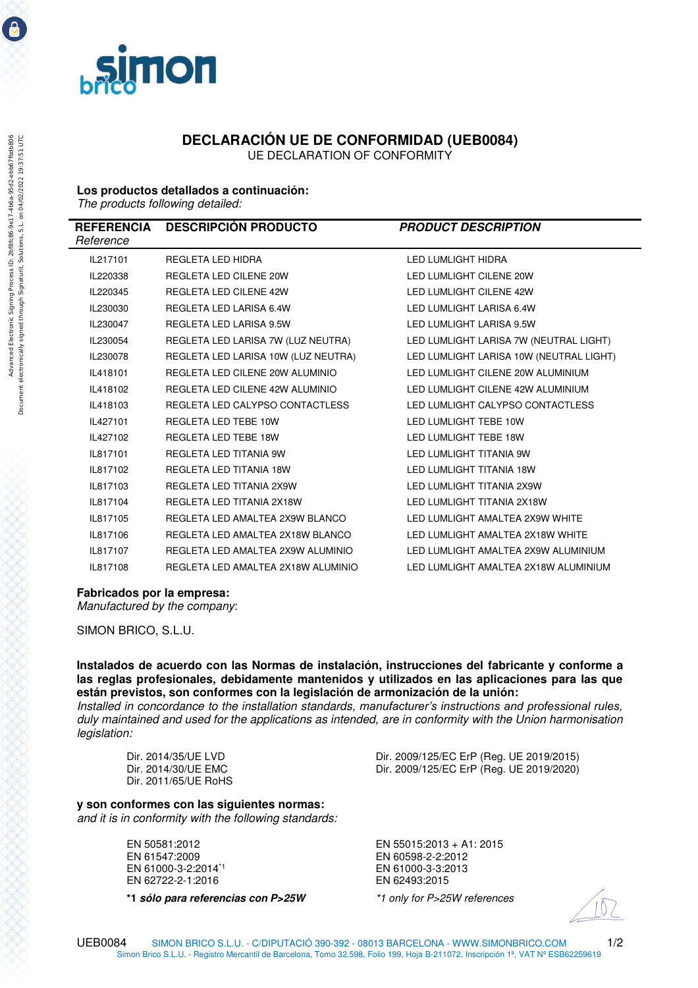

## **DECLARACIÓN UE DE CONFORMIDAD (UEB0084)**

UE DECLARATION OF CONFORMITY

## **Los productos detallados a continuación:**

*The products following detailed:* 

| Reference | REFERENCIA DESCRIPCIÓN PRODUCTO     | <b>PRODUCT DESCRIPTION</b>              |
|-----------|-------------------------------------|-----------------------------------------|
| IL217101  | REGLETA LED HIDRA                   | <b>LED LUMLIGHT HIDRA</b>               |
| IL220338  | <b>REGLETA LED CILENE 20W</b>       | LED LUMLIGHT CILENE 20W                 |
| IL220345  | <b>REGLETA LED CILENE 42W</b>       | LED LUMLIGHT CILENE 42W                 |
| IL230030  | REGLETA LED LARISA 6.4W             | LED LUMLIGHT LARISA 6.4W                |
| IL230047  | <b>REGLETA LED LARISA 9.5W</b>      | LED LUMLIGHT LARISA 9.5W                |
| IL230054  | REGLETA LED LARISA 7W (LUZ NEUTRA)  | LED LUMLIGHT LARISA 7W (NEUTRAL LIGHT)  |
| IL230078  | REGLETA LED LARISA 10W (LUZ NEUTRA) | LED LUMLIGHT LARISA 10W (NEUTRAL LIGHT) |
| IL418101  | REGLETA LED CILENE 20W ALUMINIO     | LED LUMLIGHT CILENE 20W ALUMINIUM       |
| IL418102  | REGLETA LED CILENE 42W ALUMINIO     | LED LUMLIGHT CILENE 42W ALUMINIUM       |
| IL418103  | REGLETA LED CALYPSO CONTACTLESS     | LED LUMLIGHT CALYPSO CONTACTLESS        |
| IL427101  | REGLETA LED TEBE 10W                | LED LUMLIGHT TEBE 10W                   |
| IL427102  | REGLETA LED TEBE 18W                | LED LUMLIGHT TEBE 18W                   |
| IL817101  | REGLETA LED TITANIA 9W              | LED LUMLIGHT TITANIA 9W                 |
| IL817102  | REGLETA LED TITANIA 18W             | LED LUMLIGHT TITANIA 18W                |
| IL817103  | REGLETA LED TITANIA 2X9W            | LED LUMLIGHT TITANIA 2X9W               |
| IL817104  | REGLETA LED TITANIA 2X18W           | LED LUMLIGHT TITANIA 2X18W              |
| IL817105  | REGLETA LED AMALTEA 2X9W BLANCO     | LED LUMLIGHT AMALTEA 2X9W WHITE         |
| IL817106  | REGLETA LED AMALTEA 2X18W BLANCO    | LED LUMLIGHT AMALTEA 2X18W WHITE        |
| IL817107  | REGLETA LED AMALTEA 2X9W ALUMINIO   | LED LUMLIGHT AMALTEA 2X9W ALUMINIUM     |
| IL817108  | REGLETA LED AMALTEA 2X18W ALUMINIO  | LED LUMLIGHT AMALTEA 2X18W ALUMINIUM    |

## **Fabricados por la empresa:**

*Manufactured by the company*:

SIMON BRICO, S.L.U.

**Instalados de acuerdo con las Normas de instalación, instrucciones del fabricante y conforme a las reglas profesionales, debidamente mantenidos y utilizados en las aplicaciones para las que están previstos, son conformes con la legislación de armonización de la unión:** 

*Installed in concordance to the installation standards, manufacturer's instructions and professional rules, duly maintained and used for the applications as intended, are in conformity with the Union harmonisation legislation:* 

Dir. 2011/65/UE RoHS

Dir. 2014/35/UE LVD Dir. 2009/125/EC ErP (Reg. UE 2019/2015) Dir. 2009/125/EC ErP (Reg. UE 2019/2020)

**y son conformes con las siguientes normas:**  *and it is in conformity with the following standards:* 

> EN 61000-3-2:2014<sup>\*1</sup><br>EN 62722-2-1:2016 EN 62493:2015 EN 62722-2-1:2016

 **\*1** *sólo para referencias con P>25W \*1 only for P>25W references* 

EN 50581:2012<br>EN 61547:2009 EN 60598-2-2:2012 EN 60598-2-2:2012